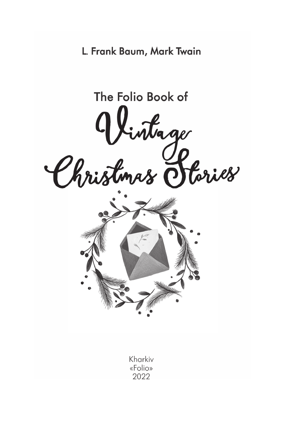L. Frank Baum, Mark Twain

The Folio Book of Vintage<br>Christmas Stories Kharkiv «Folio» 2022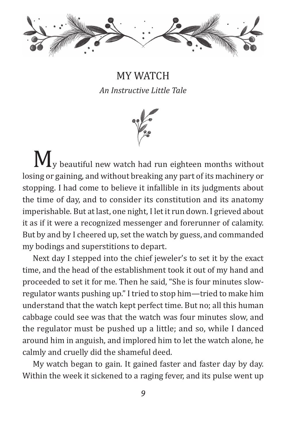

MY WATCH *An Instructive Little Tale*



 $\mathbf{M}_{v}$  beautiful new watch had run eighteen months without losing or gaining, and without breaking any part of its machinery or stopping. I had come to believe it infallible in its judgments about the time of day, and to consider its constitution and its anatomy imperishable. But at last, one night, I let it run down. I grieved about it as if it were a recognized messenger and forerunner of calamity. But by and by I cheered up, set the watch by guess, and commanded my bodings and superstitions to depart.

Next day I stepped into the chief jeweler's to set it by the exact time, and the head of the establishment took it out of my hand and proceeded to set it for me. Then he said, "She is four minutes slowregulator wants pushing up." I tried to stop him—tried to make him understand that the watch kept perfect time. But no; all this human cabbage could see was that the watch was four minutes slow, and the regulator must be pushed up a little; and so, while I danced around him in anguish, and implored him to let the watch alone, he calmly and cruelly did the shameful deed.

My watch began to gain. It gained faster and faster day by day. Within the week it sickened to a raging fever, and its pulse went up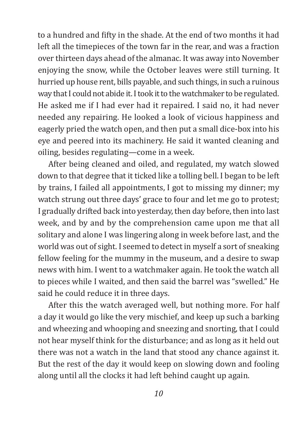to a hundred and fifty in the shade. At the end of two months it had left all the timepieces of the town far in the rear, and was a fraction over thirteen days ahead of the almanac. It was away into November enjoying the snow, while the October leaves were still turning. It hurried up house rent, bills payable, and such things, in such a ruinous way that I could not abide it. I took it to the watchmaker to be regulated. He asked me if I had ever had it repaired. I said no, it had never needed any repairing. He looked a look of vicious happiness and eagerly pried the watch open, and then put a small dice-box into his eye and peered into its machinery. He said it wanted cleaning and oiling, besides regulating—come in a week.

After being cleaned and oiled, and regulated, my watch slowed down to that degree that it ticked like a tolling bell. I began to be left by trains, I failed all appointments, I got to missing my dinner; my watch strung out three days' grace to four and let me go to protest; I gradually drifted back into yesterday, then day before, then into last week, and by and by the comprehension came upon me that all solitary and alone I was lingering along in week before last, and the world was out of sight. I seemed to detect in myself a sort of sneaking fellow feeling for the mummy in the museum, and a desire to swap news with him. I went to a watchmaker again. He took the watch all to pieces while I waited, and then said the barrel was "swelled." He said he could reduce it in three days.

After this the watch averaged well, but nothing more. For half a day it would go like the very mischief, and keep up such a barking and wheezing and whooping and sneezing and snorting, that I could not hear myself think for the disturbance; and as long as it held out there was not a watch in the land that stood any chance against it. But the rest of the day it would keep on slowing down and fooling along until all the clocks it had left behind caught up again.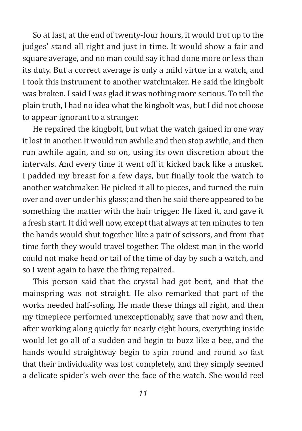So at last, at the end of twenty-four hours, it would trot up to the judges' stand all right and just in time. It would show a fair and square average, and no man could say it had done more or less than its duty. But a correct average is only a mild virtue in a watch, and I took this instrument to another watchmaker. He said the kingbolt was broken. I said I was glad it was nothing more serious. To tell the plain truth, I had no idea what the kingbolt was, but I did not choose to appear ignorant to a stranger.

He repaired the kingbolt, but what the watch gained in one way it lost in another. It would run awhile and then stop awhile, and then run awhile again, and so on, using its own discretion about the intervals. And every time it went off it kicked back like a musket. I padded my breast for a few days, but finally took the watch to another watchmaker. He picked it all to pieces, and turned the ruin over and over under his glass; and then he said there appeared to be something the matter with the hair trigger. He fixed it, and gave it a fresh start. It did well now, except that always at ten minutes to ten the hands would shut together like a pair of scissors, and from that time forth they would travel together. The oldest man in the world could not make head or tail of the time of day by such a watch, and so I went again to have the thing repaired.

This person said that the crystal had got bent, and that the mainspring was not straight. He also remarked that part of the works needed half-soling. He made these things all right, and then my timepiece performed unexceptionably, save that now and then, after working along quietly for nearly eight hours, everything inside would let go all of a sudden and begin to buzz like a bee, and the hands would straightway begin to spin round and round so fast that their individuality was lost completely, and they simply seemed a delicate spider's web over the face of the watch. She would reel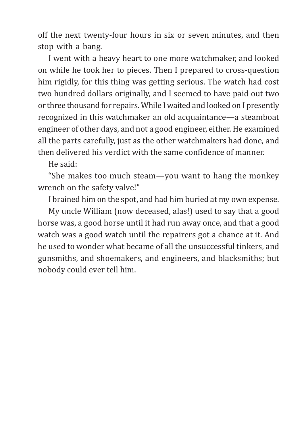off the next twenty-four hours in six or seven minutes, and then stop with a bang.

I went with a heavy heart to one more watchmaker, and looked on while he took her to pieces. Then I prepared to cross-question him rigidly, for this thing was getting serious. The watch had cost two hundred dollars originally, and I seemed to have paid out two or three thousand for repairs. While I waited and looked on I presently recognized in this watchmaker an old acquaintance—a steamboat engineer of other days, and not a good engineer, either. He examined all the parts carefully, just as the other watchmakers had done, and then delivered his verdict with the same confidence of manner.

He said:

"She makes too much steam—you want to hang the monkey wrench on the safety valve!"

I brained him on the spot, and had him buried at my own expense.

My uncle William (now deceased, alas!) used to say that a good horse was, a good horse until it had run away once, and that a good watch was a good watch until the repairers got a chance at it. And he used to wonder what became of all the unsuccessful tinkers, and gunsmiths, and shoemakers, and engineers, and blacksmiths; but nobody could ever tell him.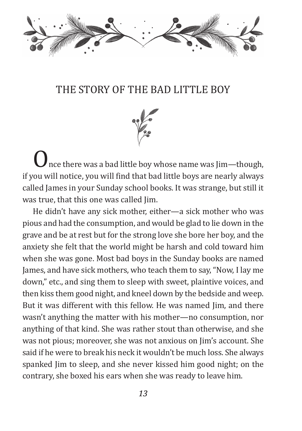

## The Story of the Bad Little Boy



nce there was a bad little boy whose name was Jim-though, if you will notice, you will find that bad little boys are nearly always called James in your Sunday school books. It was strange, but still it was true, that this one was called Jim.

He didn't have any sick mother, either—a sick mother who was pious and had the consumption, and would be glad to lie down in the grave and be at rest but for the strong love she bore her boy, and the anxiety she felt that the world might be harsh and cold toward him when she was gone. Most bad boys in the Sunday books are named James, and have sick mothers, who teach them to say, "Now, I lay me down," etc., and sing them to sleep with sweet, plaintive voices, and then kiss them good night, and kneel down by the bedside and weep. But it was different with this fellow. He was named Jim, and there wasn't anything the matter with his mother—no consumption, nor anything of that kind. She was rather stout than otherwise, and she was not pious; moreover, she was not anxious on Jim's account. She said if he were to break his neck it wouldn't be much loss. She always spanked Jim to sleep, and she never kissed him good night; on the contrary, she boxed his ears when she was ready to leave him.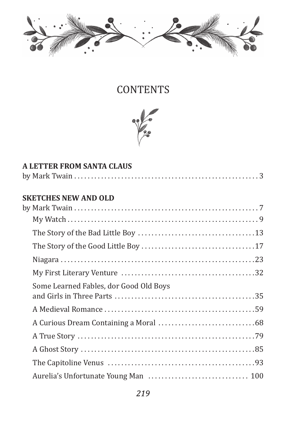

## **CONTENTS**



| <b>A LETTER FROM SANTA CLAUS</b>       |  |  |
|----------------------------------------|--|--|
|                                        |  |  |
| <b>SKETCHES NEW AND OLD</b>            |  |  |
|                                        |  |  |
|                                        |  |  |
|                                        |  |  |
|                                        |  |  |
|                                        |  |  |
|                                        |  |  |
| Some Learned Fables, dor Good Old Boys |  |  |
|                                        |  |  |
|                                        |  |  |
|                                        |  |  |
|                                        |  |  |
|                                        |  |  |
|                                        |  |  |
|                                        |  |  |